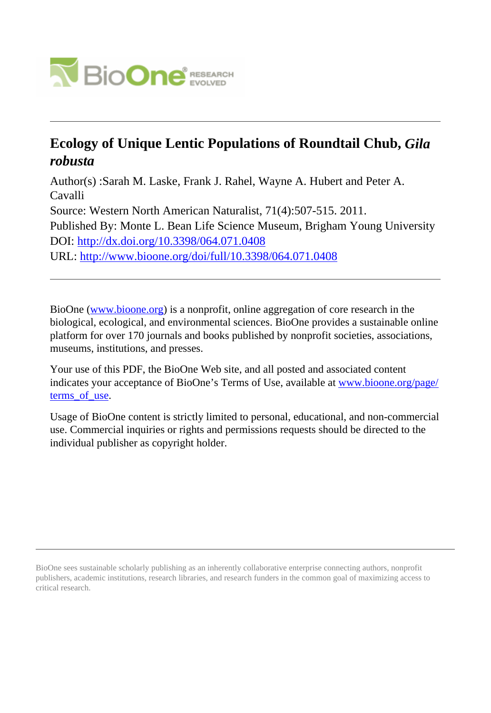

# **Ecology of Unique Lentic Populations of Roundtail Chub,** *Gila robusta*

Author(s) :Sarah M. Laske, Frank J. Rahel, Wayne A. Hubert and Peter A. Cavalli Source: Western North American Naturalist, 71(4):507-515. 2011. Published By: Monte L. Bean Life Science Museum, Brigham Young University DOI:<http://dx.doi.org/10.3398/064.071.0408> URL: <http://www.bioone.org/doi/full/10.3398/064.071.0408>

BioOne [\(www.bioone.org\)](http://www.bioone.org) is a nonprofit, online aggregation of core research in the biological, ecological, and environmental sciences. BioOne provides a sustainable online platform for over 170 journals and books published by nonprofit societies, associations, museums, institutions, and presses.

Your use of this PDF, the BioOne Web site, and all posted and associated content indicates your acceptance of BioOne's Terms of Use, available at [www.bioone.org/page/](http://www.bioone.org/page/terms_of_use) [terms\\_of\\_use.](http://www.bioone.org/page/terms_of_use)

Usage of BioOne content is strictly limited to personal, educational, and non-commercial use. Commercial inquiries or rights and permissions requests should be directed to the individual publisher as copyright holder.

BioOne sees sustainable scholarly publishing as an inherently collaborative enterprise connecting authors, nonprofit publishers, academic institutions, research libraries, and research funders in the common goal of maximizing access to critical research.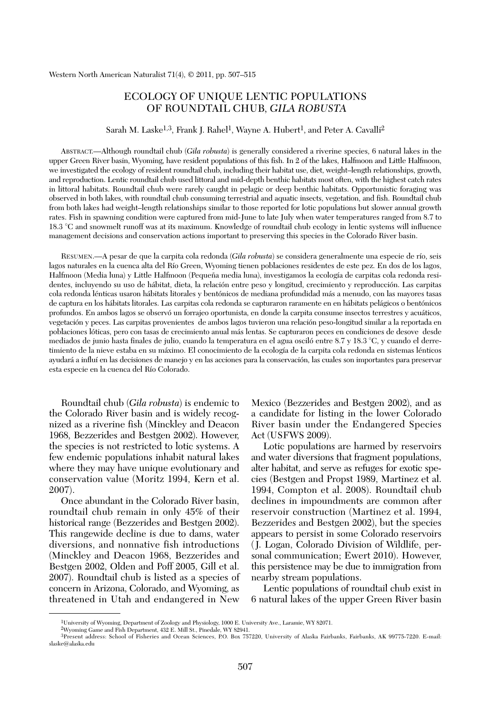## ECOLOGY OF UNIQUE LENTIC POPULATIONS OF ROUNDTAIL CHUB, *GILA ROBUSTA*

## Sarah M. Laske<sup>1,3</sup>, Frank J. Rahel<sup>1</sup>, Wayne A. Hubert<sup>1</sup>, and Peter A. Cavalli<sup>2</sup>

ABSTRACT.—Although roundtail chub (*Gila robusta*) is generally considered a riverine species, 6 natural lakes in the upper Green River basin, Wyoming, have resident populations of this fish. In 2 of the lakes, Halfmoon and Little Halfmoon, we investigated the ecology of resident roundtail chub, including their habitat use, diet, weight–length relationships, growth, and reproduction. Lentic roundtail chub used littoral and mid-depth benthic habitats most often, with the highest catch rates in littoral habitats. Roundtail chub were rarely caught in pelagic or deep benthic habitats. Opportunistic foraging was observed in both lakes, with roundtail chub consuming terrestrial and aquatic insects, vegetation, and fish. Roundtail chub from both lakes had weight–length relationships similar to those reported for lotic populations but slower annual growth rates. Fish in spawning condition were captured from mid-June to late July when water temperatures ranged from 8.7 to 18.3 °C and snowmelt runoff was at its maximum. Knowledge of roundtail chub ecology in lentic systems will influence management decisions and conservation actions important to preserving this species in the Colorado River basin.

RESUMEN.—A pesar de que la carpita cola redonda (*Gila robusta*) se considera generalmente una especie de río, seis lagos naturales en la cuenca alta del Río Green, Wyoming tienen poblaciones residentes de este pez. En dos de los lagos, Halfmoon (Media luna) y Little Halfmoon (Pequeña media luna), investigamos la ecología de carpitas cola redonda residentes, incluyendo su uso de hábitat, dieta, la relación entre peso y longitud, crecimiento y reproducción. Las carpitas cola redonda lénticas usaron hábitats litorales y bentónicos de mediana profundidad más a menudo, con las mayores tasas de captura en los hábitats litorales. Las carpitas cola redonda se capturaron raramente en en hábitats pelágicos o bentónicos profundos. En ambos lagos se observó un forrajeo oportunista, en donde la carpita consume insectos terrestres y acuáticos, vegetación y peces. Las carpitas provenientes de ambos lagos tuvieron una relación peso-longitud similar a la reportada en poblaciones lóticas, pero con tasas de crecimiento anual más lentas. Se capturaron peces en condiciones de desove desde mediados de junio hasta finales de julio, cuando la temperatura en el agua osciló entre 8.7 y 18.3 °C, y cuando el derretimiento de la nieve estaba en su máximo. El conocimiento de la ecología de la carpita cola redonda en sistemas lénticos ayudará a influí en las decisiones de manejo y en las acciones para la conservación, las cuales son importantes para preservar esta especie en la cuenca del Río Colorado.

Roundtail chub (*Gila robusta*) is endemic to the Colorado River basin and is widely recognized as a riverine fish (Minckley and Deacon 1968, Bezzerides and Bestgen 2002). However, the species is not restricted to lotic systems. A few endemic populations inhabit natural lakes where they may have unique evolutionary and conservation value (Moritz 1994, Kern et al. 2007).

Once abundant in the Colorado River basin, roundtail chub remain in only 45% of their historical range (Bezzerides and Bestgen 2002). This rangewide decline is due to dams, water diversions, and nonnative fish introductions (Minckley and Deacon 1968, Bezzerides and Bestgen 2002, Olden and Poff 2005, Gill et al. 2007). Roundtail chub is listed as a species of concern in Arizona, Colorado, and Wyoming, as threatened in Utah and endangered in New

Mexico (Bezzerides and Bestgen 2002), and as a candidate for listing in the lower Colorado River basin under the Endangered Species Act (USFWS 2009).

Lotic populations are harmed by reservoirs and water diversions that fragment populations, alter habitat, and serve as refuges for exotic spe cies (Bestgen and Propst 1989, Martinez et al. 1994, Compton et al. 2008). Roundtail chub declines in impoundments are common after reservoir construction (Martinez et al. 1994, Bezzerides and Bestgen 2002), but the species appears to persist in some Colorado reservoirs ( J. Logan, Colorado Division of Wildlife, personal communication; Ewert 2010). However, this persistence may be due to immigration from nearby stream populations.

Lentic populations of roundtail chub exist in 6 natural lakes of the upper Green River basin

<sup>1</sup>University of Wyoming, Department of Zoology and Physiology, 1000 E. University Ave., Laramie, WY 82071.

<sup>2</sup>Wyoming Game and Fish Department, 432 E. Mill St., Pinedale, WY 82941.

<sup>3</sup>Present address: School of Fisheries and Ocean Sciences, P.O. Box 757220, University of Alaska Fairbanks, Fairbanks, AK 99775-7220. E-mail: slaske@alaska.edu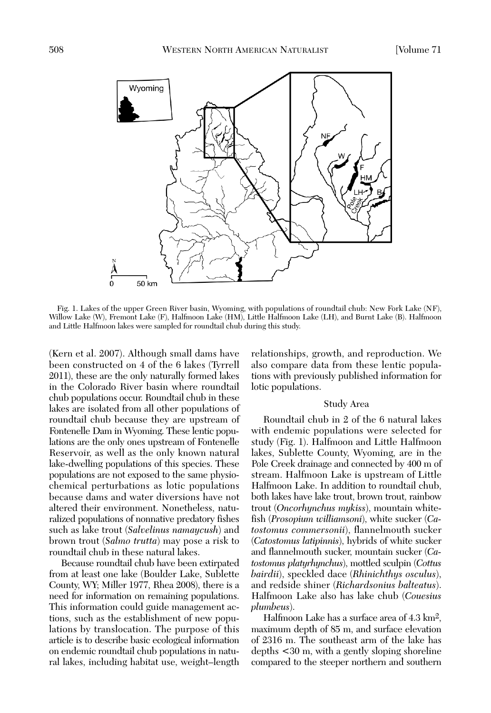

Fig. 1. Lakes of the upper Green River basin, Wyoming, with populations of roundtail chub: New Fork Lake (NF), Willow Lake (W), Fremont Lake (F), Halfmoon Lake (HM), Little Halfmoon Lake (LH), and Burnt Lake (B). Halfmoon and Little Halfmoon lakes were sampled for roundtail chub during this study.

(Kern et al. 2007). Although small dams have been constructed on 4 of the 6 lakes (Tyrrell 2011), these are the only naturally formed lakes in the Colorado River basin where roundtail chub populations occur. Roundtail chub in these lakes are isolated from all other populations of roundtail chub because they are upstream of Fontenelle Dam in Wyoming. These lentic populations are the only ones upstream of Fontenelle Reservoir, as well as the only known natural lake-dwelling populations of this species. These populations are not exposed to the same physiochemical perturbations as lotic populations because dams and water diversions have not altered their environment. Nonetheless, naturalized populations of nonnative predatory fishes such as lake trout (*Salvelinus namaycush*) and brown trout (*Salmo trutta*) may pose a risk to roundtail chub in these natural lakes.

Because roundtail chub have been extirpated from at least one lake (Boulder Lake, Sublette County, WY; Miller 1977, Rhea 2008), there is a need for information on remaining populations. This information could guide management actions, such as the establishment of new popu lations by translocation. The purpose of this article is to describe basic ecological information on endemic roundtail chub populations in natu ral lakes, including habitat use, weight–length

relationships, growth, and reproduction. We also compare data from these lentic populations with previously published information for lotic populations.

## Study Area

Roundtail chub in 2 of the 6 natural lakes with endemic populations were selected for study (Fig. 1). Halfmoon and Little Halfmoon lakes, Sublette County, Wyoming, are in the Pole Creek drainage and connected by 400 m of stream. Halfmoon Lake is upstream of Little Halfmoon Lake. In addition to roundtail chub, both lakes have lake trout, brown trout, rainbow trout (*Oncorhynchus mykiss*), mountain whitefish (*Prosopium williamsoni*), white sucker (*Ca tostomus commersonii*), flannelmouth sucker (*Ca tosto mus latipinnis*), hybrids of white sucker and flannelmouth sucker, mountain sucker (*Ca to sto mus platyrhynchus*), mottled sculpin (*Cottus bairdii*), speckled dace (*Rhinichthys osculus*), and redside shiner (*Richardsonius balteatus*). Halfmoon Lake also has lake chub (*Couesius plumbeus*).

Halfmoon Lake has a surface area of 4.3 km2, maximum depth of 85 m, and surface elevation of 2316 m. The southeast arm of the lake has depths <30 m, with a gently sloping shoreline compared to the steeper northern and southern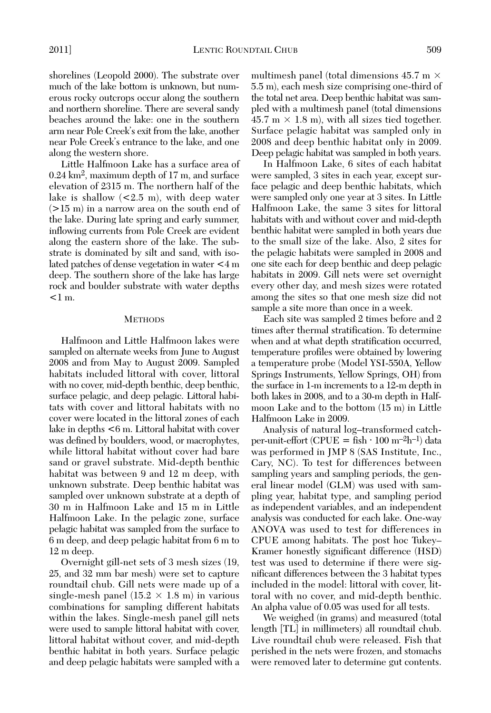shorelines (Leopold 2000). The substrate over much of the lake bottom is unknown, but numerous rocky outcrops occur along the southern and northern shoreline. There are several sandy beaches around the lake: one in the southern arm near Pole Creek's exit from the lake, another near Pole Creek's entrance to the lake, and one along the western shore.

Little Halfmoon Lake has a surface area of 0.24 km2, maximum depth of 17 m, and surface elevation of 2315 m. The northern half of the lake is shallow  $\leq 2.5$  m), with deep water (>15 m) in a narrow area on the south end of the lake. During late spring and early summer, inflowing currents from Pole Creek are evident along the eastern shore of the lake. The substrate is dominated by silt and sand, with isolated patches of dense vegetation in water <4 m deep. The southern shore of the lake has large rock and boulder substrate with water depths  $<$ 1 m.

## **METHODS**

Halfmoon and Little Halfmoon lakes were sampled on alternate weeks from June to August 2008 and from May to August 2009. Sampled habitats included littoral with cover, littoral with no cover, mid-depth benthic, deep benthic, surface pelagic, and deep pelagic. Littoral habitats with cover and littoral habitats with no cover were located in the littoral zones of each lake in depths <6 m. Littoral habitat with cover was defined by boulders, wood, or macrophytes, while littoral habitat without cover had bare sand or gravel substrate. Mid-depth benthic habitat was between 9 and 12 m deep, with unknown substrate. Deep benthic habitat was sampled over unknown substrate at a depth of 30 m in Halfmoon Lake and 15 m in Little Halfmoon Lake. In the pelagic zone, surface pelagic habitat was sampled from the surface to 6 m deep, and deep pelagic habitat from 6 m to 12 m deep.

Overnight gill-net sets of 3 mesh sizes (19, 25, and 32 mm bar mesh) were set to capture roundtail chub. Gill nets were made up of a single-mesh panel  $(15.2 \times 1.8 \text{ m})$  in various combinations for sampling different habitats within the lakes. Single-mesh panel gill nets were used to sample littoral habitat with cover, littoral habitat without cover, and mid-depth benthic habitat in both years. Surface pelagic and deep pelagic habitats were sampled with a

multimesh panel (total dimensions  $45.7 \text{ m} \times$ 5.5 m), each mesh size comprising one-third of the total net area. Deep benthic habitat was sam pled with a multimesh panel (total dimensions  $45.7 \text{ m} \times 1.8 \text{ m}$ , with all sizes tied together. Surface pelagic habitat was sampled only in 2008 and deep benthic habitat only in 2009. Deep pelagic habitat was sampled in both years.

In Halfmoon Lake, 6 sites of each habitat were sampled, 3 sites in each year, except surface pelagic and deep benthic habitats, which were sampled only one year at 3 sites. In Little Halfmoon Lake, the same 3 sites for littoral habitats with and without cover and mid-depth benthic habitat were sampled in both years due to the small size of the lake. Also, 2 sites for the pelagic habitats were sampled in 2008 and one site each for deep benthic and deep pelagic habitats in 2009. Gill nets were set overnight every other day, and mesh sizes were rotated among the sites so that one mesh size did not sample a site more than once in a week.

Each site was sampled 2 times before and 2 times after thermal stratification. To determine when and at what depth stratification occurred, temperature profiles were obtained by lowering a temperature probe (Model YSI-550A, Yellow Springs Instruments, Yellow Springs, OH) from the surface in 1-m increments to a 12-m depth in both lakes in 2008, and to a 30-m depth in Halfmoon Lake and to the bottom (15 m) in Little Halfmoon Lake in 2009.

Analysis of natural log–transformed catchper-unit-effort (CPUE = fish  $\cdot$  100 m<sup>-2</sup>h<sup>-1</sup>) data was performed in JMP 8 (SAS Institute, Inc., Cary, NC). To test for differences between sampling years and sampling periods, the general linear model (GLM) was used with sampling year, habitat type, and sampling period as independent variables, and an independent analysis was conducted for each lake. One-way ANOVA was used to test for differences in CPUE among habitats. The post hoc Tukey– Kramer honestly significant difference (HSD) test was used to determine if there were significant differences between the 3 habitat types included in the model: littoral with cover, littoral with no cover, and mid-depth benthic. An alpha value of 0.05 was used for all tests.

We weighed (in grams) and measured (total length [TL] in millimeters) all roundtail chub. Live roundtail chub were released. Fish that perished in the nets were frozen, and stomachs were removed later to determine gut contents.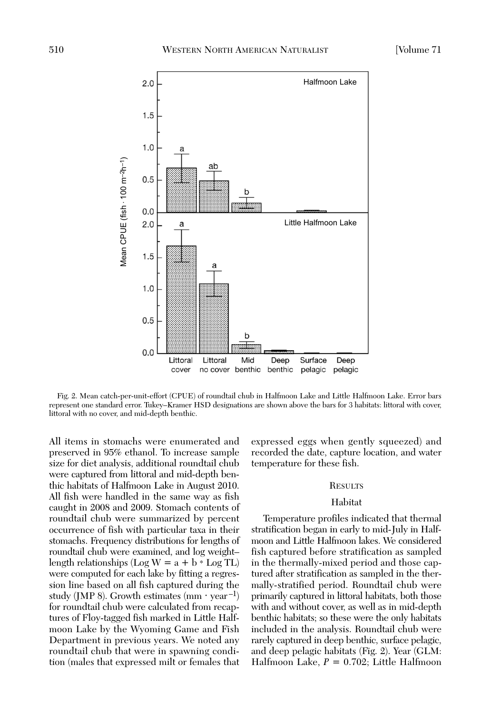

Fig. 2. Mean catch-per-unit-effort (CPUE) of roundtail chub in Halfmoon Lake and Little Halfmoon Lake. Error bars represent one standard error. Tukey–Kramer HSD designations are shown above the bars for 3 habitats: littoral with cover,

All items in stomachs were enumerated and preserved in 95% ethanol. To increase sample size for diet analysis, additional roundtail chub were captured from littoral and mid-depth benthic habitats of Halfmoon Lake in August 2010. All fish were handled in the same way as fish caught in 2008 and 2009. Stomach contents of roundtail chub were summarized by percent occurrence of fish with particular taxa in their stomachs. Frequency distributions for lengths of roundtail chub were examined, and log weight– length relationships (Log  $W = a + b * Log TL$ ) were computed for each lake by fitting a regression line based on all fish captured during the study (JMP 8). Growth estimates  $(mm \cdot year^{-1})$ for roundtail chub were calculated from recaptures of Floy-tagged fish marked in Little Halfmoon Lake by the Wyoming Game and Fish Department in previous years. We noted any roundtail chub that were in spawning condition (males that expressed milt or females that

ex pressed eggs when gently squeezed) and re corded the date, capture location, and water temperature for these fish.

## **RESULTS**

#### Habitat

Temperature profiles indicated that thermal stratification began in early to mid-July in Halfmoon and Little Halfmoon lakes. We considered fish captured before stratification as sampled in the thermally-mixed period and those captured after stratification as sampled in the thermally-stratified period. Roundtail chub were primarily captured in littoral habitats, both those with and without cover, as well as in mid-depth benthic habitats; so these were the only habitats included in the analysis. Roundtail chub were rarely captured in deep benthic, surface pelagic, and deep pelagic habitats (Fig. 2). Year (GLM: Halfmoon Lake, *P* = 0.702; Little Halfmoon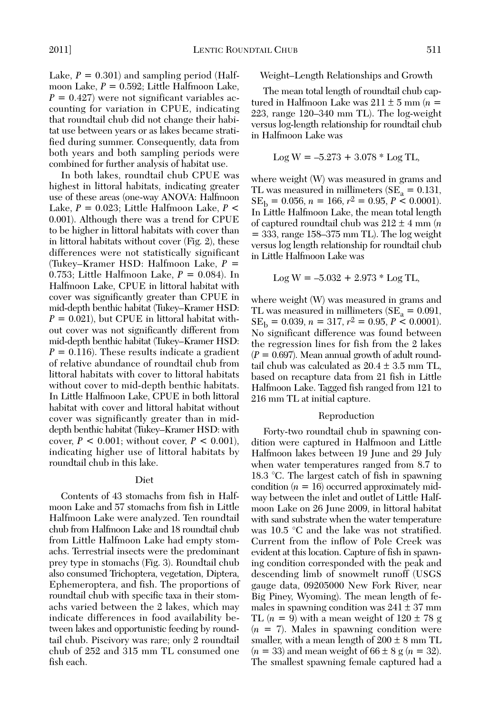Lake,  $P = 0.301$ ) and sampling period (Halfmoon Lake, *P* = 0.592; Little Halfmoon Lake,  $P = 0.427$  were not significant variables accounting for variation in CPUE, indicating that roundtail chub did not change their habitat use between years or as lakes became stratified during summer. Consequently, data from both years and both sampling periods were combined for further analysis of habitat use.

In both lakes, roundtail chub CPUE was highest in littoral habitats, indicating greater use of these areas (one-way ANOVA: Halfmoon Lake, *P* = 0.023; Little Halfmoon Lake, *P* < 0.001). Although there was a trend for CPUE to be higher in littoral habitats with cover than in littoral habitats without cover (Fig. 2), these differences were not statistically significant (Tukey–Kramer HSD: Halfmoon Lake, *P* = 0.753; Little Halfmoon Lake, *P* = 0.084). In Halfmoon Lake, CPUE in littoral habitat with cover was significantly greater than CPUE in mid-depth benthic habitat (Tukey–Kramer HSD:  $P = 0.021$ , but CPUE in littoral habitat without cover was not significantly different from mid-depth benthic habitat (Tukey–Kramer HSD:  $P = 0.116$ ). These results indicate a gradient of relative abundance of roundtail chub from littoral habitats with cover to littoral habitats without cover to mid-depth benthic habitats. In Little Halfmoon Lake, CPUE in both littoral habitat with cover and littoral habitat without cover was significantly greater than in middepth benthic habitat (Tukey–Kramer HSD: with cover,  $P < 0.001$ ; without cover,  $P < 0.001$ ), indicating higher use of littoral habitats by roundtail chub in this lake.

## Diet

Contents of 43 stomachs from fish in Halfmoon Lake and 57 stomachs from fish in Little Halfmoon Lake were analyzed. Ten roundtail chub from Halfmoon Lake and 18 roundtail chub from Little Halfmoon Lake had empty stomachs. Terrestrial insects were the predominant prey type in stomachs (Fig. 3). Roundtail chub also consumed Trichoptera, vegetation, Diptera, Ephemeroptera, and fish. The proportions of roundtail chub with specific taxa in their stomachs varied between the 2 lakes, which may indicate differences in food availability be tween lakes and opportunistic feeding by roundtail chub. Piscivory was rare; only 2 roundtail chub of 252 and 315 mm TL consumed one fish each.

Weight–Length Relationships and Growth

The mean total length of roundtail chub captured in Halfmoon Lake was  $211 \pm 5$  mm ( $n=$ 223, range 120–340 mm TL). The log-weight versus log-length relationship for roundtail chub in Halfmoon Lake was

$$
Log W = -5.273 + 3.078 * Log TL,
$$

where weight (W) was measured in grams and TL was measured in millimeters ( $SE_a = 0.131$ ,  $SE<sub>b</sub> = 0.056, n = 166, r<sup>2</sup> = 0.95, P < 0.0001$ . In Little Halfmoon Lake, the mean total length of captured roundtail chub was  $212 \pm 4$  mm (*n*)  $=$  333, range 158–375 mm TL). The log weight versus log length relationship for roundtail chub in Little Halfmoon Lake was

$$
Log W = -5.032 + 2.973 * Log TL,
$$

where weight (W) was measured in grams and TL was measured in millimeters ( $SE_a = 0.091$ ,  $SE<sub>b</sub> = 0.039, n = 317, r<sup>2</sup> = 0.95, P < 0.0001$ . No significant difference was found between the regression lines for fish from the 2 lakes  $(P = 0.697)$ . Mean annual growth of adult roundtail chub was calculated as 20.4  $\pm$  3.5 mm TL, based on recapture data from 21 fish in Little Halfmoon Lake. Tagged fish ranged from 121 to 216 mm TL at initial capture.

## Reproduction

Forty-two roundtail chub in spawning condition were captured in Halfmoon and Little Halfmoon lakes between 19 June and 29 July when water temperatures ranged from 8.7 to 18.3 °C. The largest catch of fish in spawning condition  $(n = 16)$  occurred approximately midway between the inlet and outlet of Little Halfmoon Lake on 26 June 2009, in littoral habitat with sand substrate when the water temperature was 10.5 °C and the lake was not stratified. Current from the inflow of Pole Creek was evident at this location. Capture of fish in spawning condition corresponded with the peak and descending limb of snowmelt runoff (USGS gauge data, 09205000 New Fork River, near Big Piney, Wyoming). The mean length of females in spawning condition was  $241 \pm 37$  mm TL  $(n = 9)$  with a mean weight of  $120 \pm 78$  g (*n* = 7). Males in spawning condition were smaller, with a mean length of  $200 \pm 8$  mm TL  $(n = 33)$  and mean weight of  $66 \pm 8$  g  $(n = 32)$ . The smallest spawning female captured had a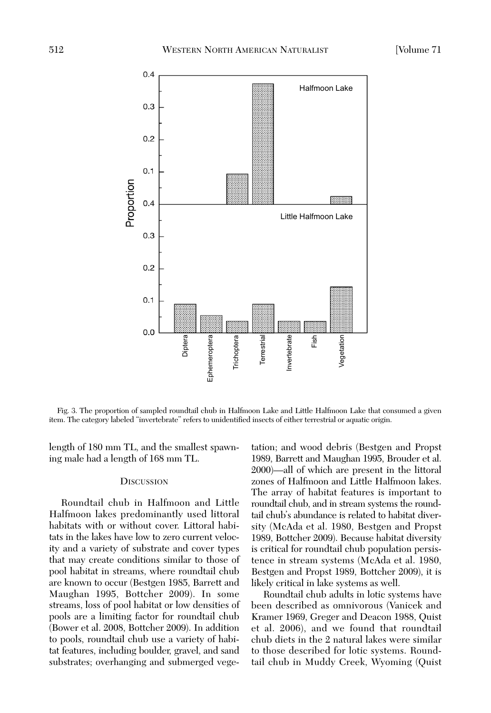

Fig. 3. The proportion of sampled roundtail chub in Halfmoon Lake and Little Halfmoon Lake that consumed a given item. The category labeled "invertebrate" refers to unidentified insects of either terrestrial or aquatic origin.

length of 180 mm TL, and the smallest spawning male had a length of 168 mm TL.

## **DISCUSSION**

Roundtail chub in Halfmoon and Little Halfmoon lakes predominantly used littoral habitats with or without cover. Littoral habitats in the lakes have low to zero current velocity and a variety of substrate and cover types that may create conditions similar to those of pool habitat in streams, where roundtail chub are known to occur (Bestgen 1985, Barrett and Maughan 1995, Bottcher 2009). In some streams, loss of pool habitat or low densities of pools are a limiting factor for roundtail chub (Bower et al. 2008, Bottcher 2009). In addition to pools, roundtail chub use a variety of habitat features, including boulder, gravel, and sand substrates; overhanging and submerged vegetation; and wood debris (Bestgen and Propst 1989, Barrett and Maughan 1995, Brouder et al. 2000)—all of which are present in the littoral zones of Halfmoon and Little Halfmoon lakes. The array of habitat features is important to roundtail chub, and in stream systems the roundtail chub's abundance is related to habitat diversity (McAda et al. 1980, Bestgen and Propst 1989, Bottcher 2009). Because habitat diversity is critical for roundtail chub population persistence in stream systems (McAda et al. 1980, Bestgen and Propst 1989, Bottcher 2009), it is likely critical in lake systems as well.

Roundtail chub adults in lotic systems have been described as omnivorous (Vanicek and Kramer 1969, Greger and Deacon 1988, Quist et al. 2006), and we found that roundtail chub diets in the 2 natural lakes were similar to those described for lotic systems. Roundtail chub in Muddy Creek, Wyoming (Quist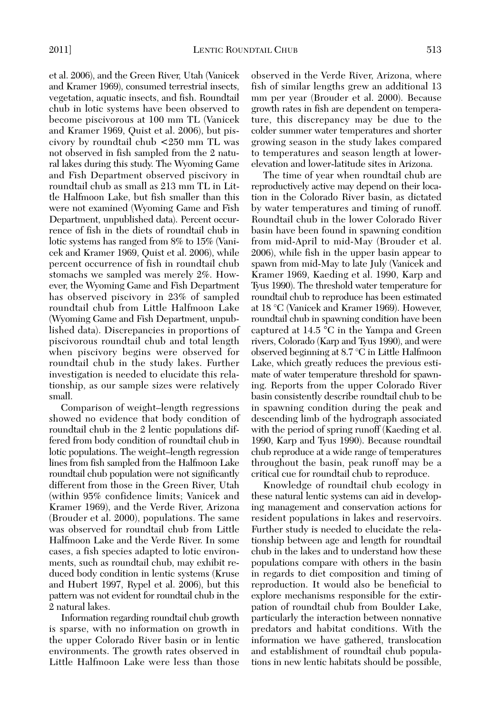et al. 2006), and the Green River, Utah (Vanicek and Kramer 1969), consumed terrestrial insects, vegetation, aquatic insects, and fish. Roundtail chub in lotic systems have been observed to become piscivorous at 100 mm TL (Vanicek and Kramer 1969, Quist et al. 2006), but piscivory by roundtail chub <250 mm TL was not observed in fish sampled from the 2 natural lakes during this study. The Wyoming Game and Fish Department observed piscivory in roundtail chub as small as 213 mm TL in Little Halfmoon Lake, but fish smaller than this were not examined (Wyoming Game and Fish Department, unpublished data). Percent occurrence of fish in the diets of roundtail chub in lotic systems has ranged from 8% to 15% (Vanicek and Kramer 1969, Quist et al. 2006), while percent occurrence of fish in roundtail chub stomachs we sampled was merely 2%. However, the Wyoming Game and Fish Department has observed piscivory in 23% of sampled roundtail chub from Little Halfmoon Lake (Wyoming Game and Fish Department, unpub lished data). Discrepancies in proportions of piscivorous roundtail chub and total length when piscivory begins were observed for roundtail chub in the study lakes. Further investigation is needed to elucidate this relationship, as our sample sizes were relatively small.

Comparison of weight–length regressions showed no evidence that body condition of roundtail chub in the 2 lentic populations differed from body condition of roundtail chub in lotic populations. The weight–length regression lines from fish sampled from the Halfmoon Lake roundtail chub population were not significantly different from those in the Green River, Utah (within 95% confidence limits; Vanicek and Kramer 1969), and the Verde River, Arizona (Brouder et al. 2000), populations. The same was observed for roundtail chub from Little Halfmoon Lake and the Verde River. In some cases, a fish species adapted to lotic environ ments, such as roundtail chub, may exhibit reduced body condition in lentic systems (Kruse and Hubert 1997, Rypel et al. 2006), but this pattern was not evident for roundtail chub in the 2 natural lakes.

Information regarding roundtail chub growth is sparse, with no information on growth in the upper Colorado River basin or in lentic environ ments. The growth rates observed in Little Halfmoon Lake were less than those

observed in the Verde River, Arizona, where fish of similar lengths grew an additional 13 mm per year (Brouder et al. 2000). Because growth rates in fish are dependent on tempera ture, this discrepancy may be due to the colder summer water temperatures and shorter growing season in the study lakes compared to temperatures and season length at lowerelevation and lower-latitude sites in Arizona.

The time of year when roundtail chub are reproductively active may depend on their location in the Colorado River basin, as dictated by water temperatures and timing of runoff. Roundtail chub in the lower Colorado River basin have been found in spawning condition from mid-April to mid-May (Brouder et al. 2006), while fish in the upper basin appear to spawn from mid-May to late July (Vanicek and Kramer 1969, Kaeding et al. 1990, Karp and Tyus 1990). The threshold water temperature for roundtail chub to reproduce has been estimated at 18 °C (Vanicek and Kramer 1969). However, roundtail chub in spawning condition have been captured at 14.5 °C in the Yampa and Green rivers, Colorado (Karp and Tyus 1990), and were observed beginning at 8.7 °C in Little Halfmoon Lake, which greatly reduces the previous estimate of water temperature threshold for spawning. Reports from the upper Colorado River basin consistently describe roundtail chub to be in spawning condition during the peak and descending limb of the hydrograph associated with the period of spring runoff (Kaeding et al. 1990, Karp and Tyus 1990). Because roundtail chub reproduce at a wide range of temperatures throughout the basin, peak runoff may be a critical cue for roundtail chub to reproduce.

Knowledge of roundtail chub ecology in these natural lentic systems can aid in developing management and conservation actions for resident populations in lakes and reservoirs. Further study is needed to elucidate the relationship between age and length for roundtail chub in the lakes and to understand how these populations compare with others in the basin in regards to diet composition and timing of reproduction. It would also be beneficial to explore mechanisms responsible for the extirpation of roundtail chub from Boulder Lake, particularly the interaction between nonnative predators and habitat conditions. With the information we have gathered, translocation and establishment of roundtail chub populations in new lentic habitats should be possible,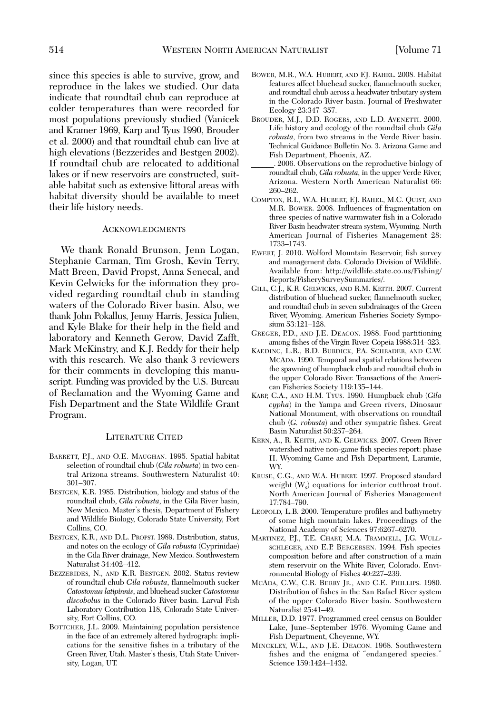since this species is able to survive, grow, and reproduce in the lakes we studied. Our data indicate that roundtail chub can reproduce at colder temperatures than were recorded for most populations previously studied (Vanicek and Kramer 1969, Karp and Tyus 1990, Brouder et al. 2000) and that roundtail chub can live at high elevations (Bezzerides and Bestgen 2002). If roundtail chub are relocated to additional lakes or if new reservoirs are constructed, suitable habitat such as extensive littoral areas with habitat diversity should be available to meet their life history needs.

#### **ACKNOWLEDGMENTS**

We thank Ronald Brunson, Jenn Logan, Stephanie Carman, Tim Grosh, Kevin Terry, Matt Breen, David Propst, Anna Senecal, and Kevin Gelwicks for the information they provided regarding roundtail chub in standing waters of the Colorado River basin. Also, we thank John Pokallus, Jenny Harris, Jessica Julien, and Kyle Blake for their help in the field and laboratory and Kenneth Gerow, David Zafft, Mark McKinstry, and K.J. Reddy for their help with this research. We also thank 3 reviewers for their comments in developing this manuscript. Funding was provided by the U.S. Bureau of Reclamation and the Wyoming Game and Fish Department and the State Wildlife Grant Program.

## LITERATURE CITED

- BARRETT, P.J., AND O.E. MAUGHAN. 1995. Spatial habitat selection of roundtail chub (*Gila robusta*) in two central Arizona streams. Southwestern Naturalist 40: 301–307.
- BESTGEN, K.R. 1985. Distribution, biology and status of the roundtail chub, *Gila robusta*, in the Gila River basin, New Mexico. Master's thesis, Department of Fishery and Wildlife Biology, Colorado State University, Fort Collins, CO.
- BESTGEN, K.R., AND D.L. PROPST. 1989. Distribution, status, and notes on the ecology of *Gila robusta* (Cyprinidae) in the Gila River drainage, New Mexico. Southwestern Naturalist 34:402–412.
- BEZZERIDES, N., AND K.R. BESTGEN. 2002. Status review of roundtail chub *Gila robusta*, flannelmouth sucker *Catostomus latipinnis*, and bluehead sucker *Catostomus discobolus* in the Colorado River basin. Larval Fish Laboratory Contribution 118, Colorado State University, Fort Collins, CO.
- BOTTCHER, J.L. 2009. Maintaining population persistence in the face of an extremely altered hydrograph: implications for the sensitive fishes in a tributary of the Green River, Utah. Master's thesis, Utah State Univer sity, Logan, UT.
- BOWER, M.R., W.A. HUBERT, AND F.J. RAHEL. 2008. Habitat features affect bluehead sucker, flannelmouth sucker, and roundtail chub across a headwater tributary system in the Colorado River basin. Journal of Freshwater Ecology 23:347–357.
- BROUDER, M.J., D.D. ROGERS, AND L.D. AVENETTI. 2000. Life history and ecology of the roundtail chub *Gila robusta*, from two streams in the Verde River basin. Technical Guidance Bulletin No. 3. Arizona Game and Fish Department, Phoenix, AZ.
- \_\_\_\_\_\_. 2006. Observations on the reproductive biology of roundtail chub, *Gila robusta*, in the upper Verde River, Arizona. Western North American Naturalist 66: 260–262.
- COMPTON, R.I., W.A. HUBERT, F.J. RAHEL, M.C. QUIST, AND M.R. BOWER. 2008. Influences of fragmentation on three species of native warmwater fish in a Colorado River Basin headwater stream system, Wyoming. North American Journal of Fisheries Management 28: 1733–1743.
- EWERT, J. 2010. Wolford Mountain Reservoir, fish survey and management data. Colorado Division of Wildlife. Available from: http://wildlife.state.co.us/Fishing/ Reports/FisherySurveySummaries/.
- GILL, C.J., K.R. GELWICKS, AND R.M. KEITH. 2007. Current distribution of bluehead sucker, flannelmouth sucker, and roundtail chub in seven subdrainages of the Green River, Wyoming. American Fisheries Society Symposium 53:121–128.
- GREGER, P.D., AND J.E. DEACON. 1988. Food partitioning among fishes of the Virgin River. Copeia 1988:314–323.
- KAEDING, L.R., B.D. BURDICK, P.A. SCHRADER, AND C.W. MCADA. 1990. Temporal and spatial relations between the spawning of humpback chub and roundtail chub in the upper Colorado River. Transactions of the American Fisheries Society 119:135–144.
- KARP, C.A., AND H.M. TYUS. 1990. Humpback chub (*Gila cypha*) in the Yampa and Green rivers, Dinosaur National Monument, with observations on roundtail chub (*G. robusta*) and other sympatric fishes. Great Basin Naturalist 50:257–264.
- KERN, A., R. KEITH, AND K. GELWICKS. 2007. Green River watershed native non-game fish species report: phase II. Wyoming Game and Fish Department, Laramie, WY.
- KRUSE, C.G., AND W.A. HUBERT. 1997. Proposed standard weight  $(W_s)$  equations for interior cutthroat trout. North American Journal of Fisheries Management 17:784–790.
- LEOPOLD, L.B. 2000. Temperature profiles and bathymetry of some high mountain lakes. Proceedings of the National Academy of Sciences 97:6267–6270.
- MARTINEZ, P.J., T.E. CHART, M.A. TRAMMELL, J.G. WULL-SCHLEGER, AND E.P. BERGERSEN. 1994. Fish species composition before and after construction of a main stem reservoir on the White River, Colorado. Environmental Biology of Fishes 40:227–239.
- MCADA, C.W., C.R. BERRY JR., AND C.E. PHILLIPS. 1980. Distribution of fishes in the San Rafael River system of the upper Colorado River basin. Southwestern Naturalist 25:41–49.
- MILLER, D.D. 1977. Programmed creel census on Boulder Lake, June–September 1976. Wyoming Game and Fish Department, Cheyenne, WY.
- MINCKLEY, W.L., AND J.E. DEACON. 1968. Southwestern fishes and the enigma of "endangered species." Science 159:1424–1432.